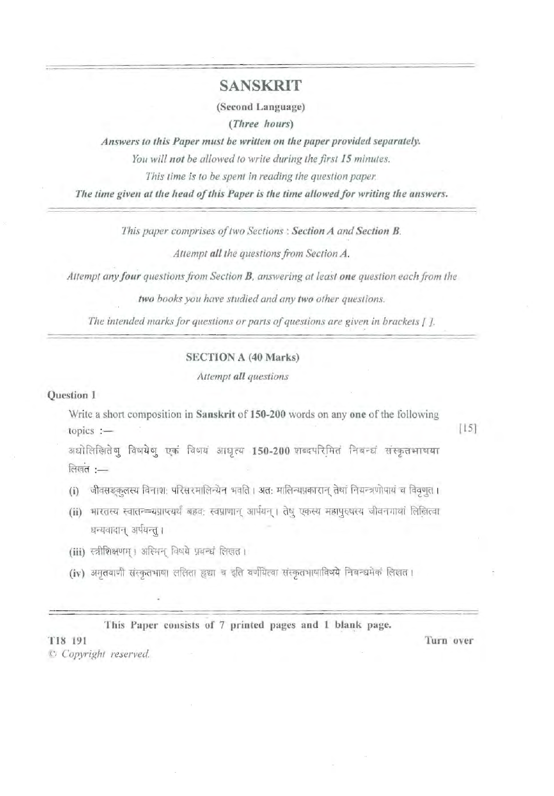## SANSKRIT

(Second Language)

(Three hours)

Answers to this Paper must be written on the paper provided separately.

You will not be allowed to write during the first 15 minutes.

This time is to be spent in reading the question paper.

The time given at the head of this Paper is the time allowed for writing the answers.

This paper comprises of two Sections : Section A and Section B.

Attempt all the questions from Section A.

Attempt any four questions from Section **B**, answering at least one question each from the

*two books you have studied and any two other questions.* 

*The intended marks for questions or parts of questions are given in brackets [].* 

#### SECTION A (40 Marks)

*Attempt all questions* 

#### Question 1

Write a short composition in Sanskrit of IS0-200 words on anyone of the following  $\text{topics}$  :  $\qquad \qquad \qquad$  [15]

अधोलिखितेषु विषयेषु एकं विषयं आधृत्य 150-200 शब्दपरिमितं निबन्धं संस्कृतभाषया लिखत $:=$ 

- (i) जीवसङ्कुलस्य विनाश: परिसरमालिन्येन भवति । अत: मालिन्यप्रकारान् तेषां नियन्त्रणोपायं च विवृणुत ।
- (ii) भारतस्य स्वातन्=यप्राप्त्यर्थं बहवः स्वप्राणान् आर्पयन् । तेषु एकस्य महापुरुषस्य जीवनगाथां लिखित्वा धन्यवादान् अर्पयन्तु ।
- (iii) स्त्रीशिक्षणम् । अस्मिन् विषये प्रबन्धं लिखत।
- (iv) अमृतवाणी संस्कृतभाषा ललिता हृद्या च इति वर्णयित्वा संस्कृतभाषाविषये निबन्धमेकं लिखत।

This Paper consists of 7 printed pages and 1 blank page.

 $C$  *Copyright reserved.* 

'1'18 191 Turn over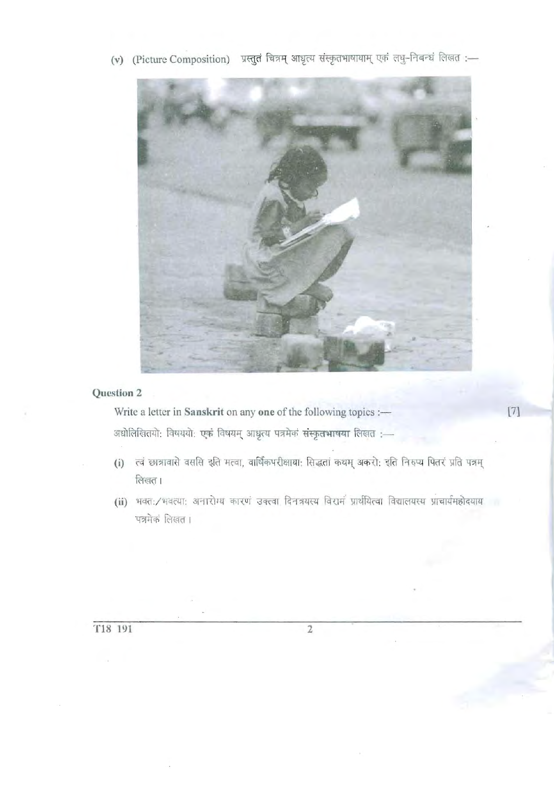## Question 2

Write a letter in Sanskrit on any one of the following topics :-अधोलिखितयो: विषययो: एकं विषयम् आधृत्य पत्रमेकं संस्कृतभाषया लिखत :-

- (i) त्वं छात्रावासे वससि इति मत्वा, वार्षिकपरीक्षाया: सिद्धतां कथम् अकरो: इति निरुप्य पितरं प्रति पत्रम् लिखत।
- (ii) भवत:/भवत्या: अनारोग्य कारणं उक्त्वा दिनत्रयस्य विरामं प्रार्थयित्वा विद्यालयस्य प्राचार्यमहोदयाय पत्रमेकं लिखत।

 $\,2$ 

 $[7]$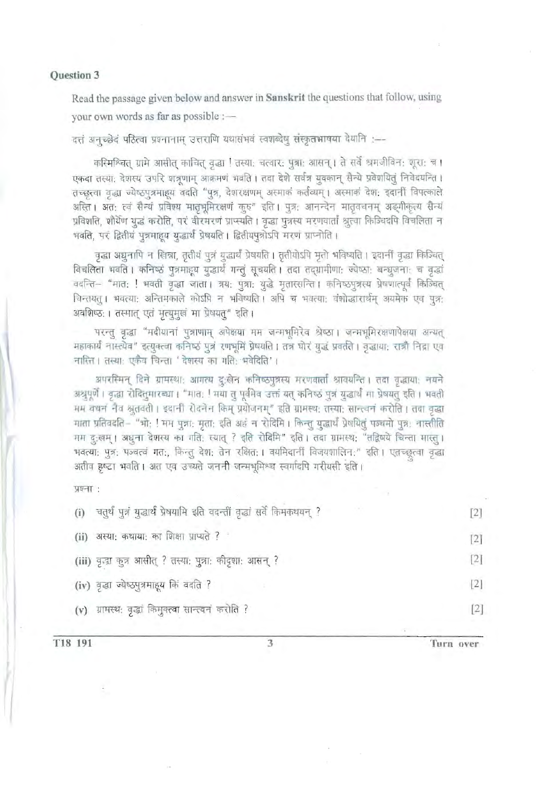#### Question 3

Read the passage given below and answer in Sanskrit the questions that follow, using your own words as far as possible :-

दत्तं अनुच्छेदं पठित्वा प्रश्नानाम् उत्तराणि यथासंभवं स्वशब्देषु संस्कृतभाषया देयानि :---

कस्मिश्चित् ग्रामे आसीत् काचित् वृद्धा ! तस्या: चत्वार: पुत्रा: आसन् । ते सर्वे श्रमजीविन: शूरा: च । एकदा तस्या: देशस्य उपरि शत्रूणाम् आक्रमणं भवति । तदा देशे सर्वत्र युवकान् सैन्ये प्रवेशयितुं निवेदयन्ति । तच्छुत्वा वृद्धा ज्येष्ठपुत्रमाहूय वदति "पुत्र, देशरक्षणम् अस्माकं कर्तव्यम् । अस्माकं देश: इदानीं विपत्काले अस्ति । अत: त्वं सैन्यं प्रविश्य मातृभूमिरक्षणं कुरु" इति । पुत्र: आनन्देन मातृवचनम् अङ्गीकृत्य सैन्यं प्रविशति, शौर्येण युद्धं करोति, परं वीरमरणं प्राप्स्यति । वृद्धा पुत्रस्य मरणवार्तां श्रुत्वा किञ्चिदपि विचलिता न भवति, परं द्वितीयं पुत्रमाहय युद्धार्थं प्रेषयति । द्वितीयपुत्रोऽपि मरणं प्राप्नोति ।

वृद्धा अधुनापि न खिन्ना, तृतीयं पुत्रं युद्धार्थं प्रेषयति । तृतीयोऽपि मृतो भविष्यति । इदानीं वृद्धा किञ्चित् विचलिता भवति । कनिष्ठं पुत्रमाद्दय युद्धार्थं गन्तुं सूचयति । तदा तद्ग्रामीणा: ज्येष्ठा: बन्धुजना: च वृद्धां वदन्ति– "मात: ! भवती वृद्धा जाता। त्रय: पुत्रा: युद्धे मृतास्सन्ति । कनिष्ठपुत्रस्य प्रेषणात्पूर्वं किञ्चित् विन्तयतु। भवत्या: अन्तिमकाले कोऽपि न भविष्यति। अपि च भवत्या: वंशोद्धारार्थम् अयमेक एव पुत्र: अवशिष्ठ: । तस्मात् एतं मृत्युमुखं मा प्रेषयत्" इति ।

परन्तु वृद्धा "मदीयानां पुत्राणाम् अपेक्षया मम जन्मभूमिरेव श्रेष्ठा। जन्मभूमिरक्षणापेक्षया अन्यत् महाकार्यं नास्त्येव" इत्युक्त्वा कनिष्ठं पुत्रं रणभूमिं प्रेषयति । तत्र घोरं युद्धं प्रवर्तते । वृद्धाया: रात्रौ निद्रा एव नास्ति । तस्याः एकैव चिन्ता ' देशस्य का गतिः भवेदिति' ।

अपरस्मिन् दिने ग्रामस्था: आगत्य दु:खेन कनिष्ठपुत्रस्य मरणवार्तां श्रावयन्ति । तदा वृद्धाया: नयने अश्रूपूर्णे । वृद्धा रोदितुमारब्धा । "मातः ! मया तु पूर्वमेव उक्तं यत् कनिष्ठं पुत्रं युद्धार्थं मा प्रेषयतु इति । भवती मम वचन' नैव श्रुतवती । इदानीं रोदनेन किम् प्रयोजनम्" इति ग्रामस्थ: तस्या: सान्त्वनं करोति । तदा वृद्धा माता प्रतिवदति– "भो; ! मम पुत्रा: मृता; इति अहं न रोदिमि । किन्तु युद्धार्थं प्रेषयितुं पञ्चमो पुत्र: नास्तीति गम दुःखम् । अधुना देशस्य का गतिः स्यात् ? इति रोदिमि" इति । तदा ग्रामस्थ: "तद्विषये चिन्ता मास्तु । भवत्या: पुत्र: पञ्चत्वं गत:, किन्तु देश: तेन रक्षित: । वयमिदानीं विजयशालिन:" इति । एतच्छ्त्वा वृद्धा अतीव हृष्टा भवति । अत एव उच्यते जननी जन्मभूमिश्च स्वर्गादपि गरीयसी इति ।

प्रश्ना:

| चतुर्थं पुत्रं युद्धार्थं प्रेषयामि इति वदन्तीं वृद्धां सर्वे किमकथयन् ?<br>(i) |       |
|---------------------------------------------------------------------------------|-------|
| (ii) अस्या: कथाया: का शिक्षा प्राप्यते ?                                        | $[2]$ |
| (iii) वृन्द्रा कुत्र आसीत् ? तस्या: पुत्रा: कीदृशा: आसन् ?                      | $[2]$ |
| (iv) वृद्धा ज्येष्ठपुत्रमाहूय किं वदति ?                                        | [2]   |
| (v) ग्रामस्थ: वृद्धां किमुक्त्वा सान्त्वनं करोति ?                              |       |

Turn over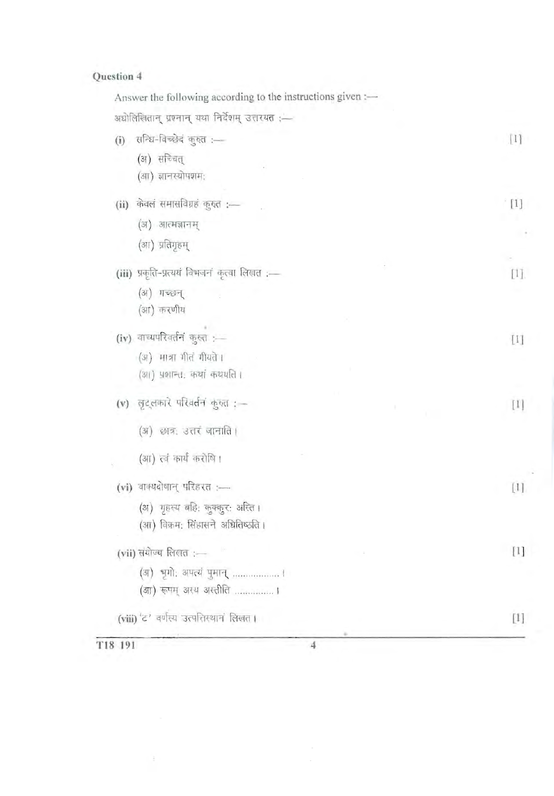# Question 4

| Answer the following according to the instructions given :- |                   |
|-------------------------------------------------------------|-------------------|
| अधोलिखितान् प्रश्नान् यथा निर्देशम् उत्तरयत :-              |                   |
| सन्धि-विच्छेदं कुरुत :-<br>(i)                              | $[1]$             |
| (अ) सच्चित्                                                 |                   |
| (आ) ज्ञानस्योपशमः                                           |                   |
| (ii) केवल समासविग्रह कुरुत :-                               | $\lceil 1 \rceil$ |
| (अ) आत्मज्ञानम्                                             |                   |
| (आ) प्रतिगृहम्                                              |                   |
| (iii) प्रकृति-प्रत्ययं विभजनं कृत्वा लिखत :-                | $\Box$            |
| (अ) गच्छन्                                                  |                   |
| (आ) करणीय                                                   |                   |
| (iv) वाच्यपरिवर्तनं कुरुत :—                                | $[1]$             |
| (अ) मात्रा गीतं गीयते ।                                     |                   |
| (आ) प्रशान्त, कथा कथयति ।                                   |                   |
| (v) लुट्लकारे परिवर्तनं कुरुत : --                          | $[1]$             |
| (अ) छात्र: उत्तरं जानाति ।                                  |                   |
| (आ) त्वं कार्यं करोषि ।                                     |                   |
| (vi) वाक्यदोषान् परिहरत :----                               | [1]               |
| (अ) गृहस्य बहि: कुक्कुर: अस्ति ।                            |                   |
| (आ) विक्रम: सिंहासने अधितिष्ठति ।                           |                   |
| (vii) संयोज्य लिखत :—                                       | $[1]$             |
| (अ) भूगो: अपत्यं पुमान्  ।                                  |                   |
| (आ) रूपम् अस्य अस्तीति ।                                    |                   |
| (viii) 'ट' वर्णस्य उत्पत्तिस्थानं लिखत् ।                   | $[1]$             |
|                                                             |                   |

T18 191

 $\overline{\Xi}$ 

 $\overline{4}$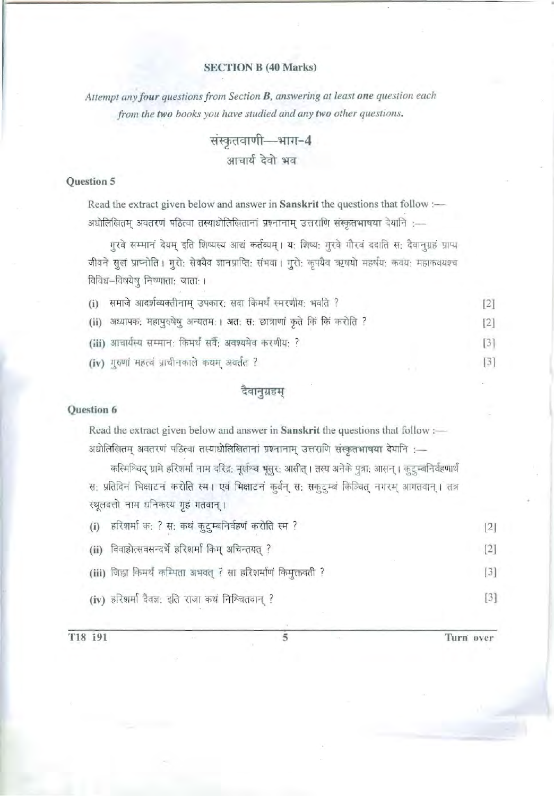## SECTION B (40 Marks)

Attempt any four questions from Section B, answering at least one question each *from the two books you have studied and any two other questions.* 

> संस्कृतवाणी-भाग-4 आचार्य देवो भव

#### Question 5

Read the extract given below and answer in Sanskrit the questions that follow : अधोलिखितम् अवतरणं पठित्वा तस्याधोलिखितानां प्रश्नानाम् उत्तराणि संस्कृतभाषया देयानि :-

गुरवे सम्मानं देयम् इति शिष्यस्य आद्यं कर्तव्यम् । य: शिष्य: गुरवे गौरवं ददाति स: दैवानुग्रहं प्राप्य जीवने सुखं प्राप्नोति । गुरो: सेवयैव ज्ञानप्राप्ति: संभवा । गुरो: कृपयैव ऋषयो महर्षय: कवय: महाकवयश्च विविध-विषयेषु निष्णाता: जाता: ।

| (i) समाजे आदर्शव्यक्तीनाम् उपकार: सदा किमर्थं स्मरणीय: भवति ?             |  |
|---------------------------------------------------------------------------|--|
| (ii) अध्यापक: महापुरुषेषु अन्यतम: । अत: स: छात्राणां कृते किं किं करोति ? |  |
| (iii) आचार्यस्य सम्मान: किमर्थं सर्वै; अवश्यमेव करणीय: ?                  |  |
| (iv) गुरुणां महत्त्वं प्राचीनकाले कथम् अवर्तत ?                           |  |

#### दैवानुग्रहम्

#### Question 6

Read the extract given below and answer in Sanskrit the questions that follow : अधोलिखितम् अवतरणं पठित्वा तस्याधोलिखितानां प्रश्नानाम् उत्तराणि संस्कृतभाषया देयानि :-

कस्मिश्चिद् ग्रामे हरिशर्मा नाम दरिद्र: मूर्खश्च भूसूर: आसीत् । तस्य अनेके पुत्रा: आसन् । कुटुम्बनिर्वहणार्थं स: प्रतिदिनं भिक्षाटनं करोति स्म। एवं भिक्षाटनं कुर्वन् स: सकुटुम्बं किञ्चित् नगरम् आगतवान्। तत्र स्थूलदत्तो नाम धनिकस्य गृहं गतवान् ।

| हरिशर्मा क: ? स: कथं कुटुम्बनिर्वहणं करोति स्म ?<br>(i)       | $\lceil 2 \rceil$            |
|---------------------------------------------------------------|------------------------------|
| (ii) विवाहोत्सवसन्दर्भे हरिशर्मा किम् अचिन्तयत् ?             | [2]                          |
| (iii) जिहा किमर्थं कम्पिता अभवत् ? सा हरिशर्माणं किमुक्तवती ? | $\left\lceil 3 \right\rceil$ |
| (iv) हरिशर्मा दैवज्ञ: इति राजा कथं निश्चितवान् ?              | $\lceil 3 \rceil$            |

T18 191 5 Turn over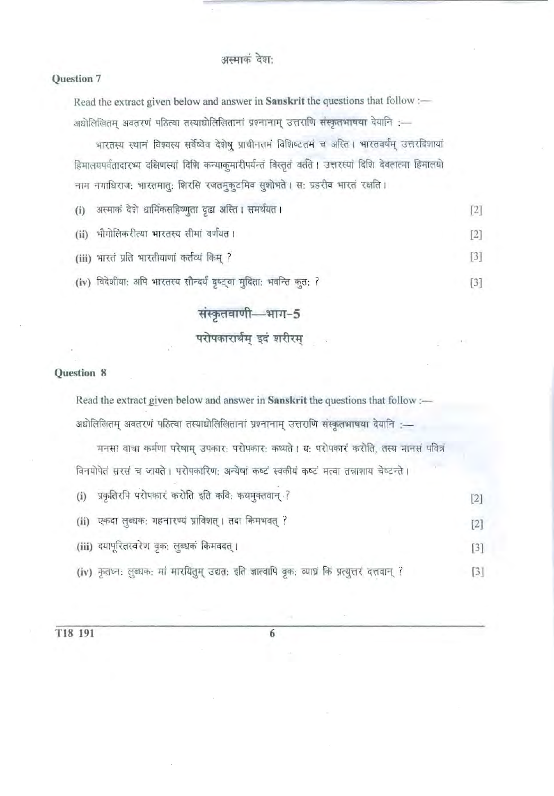## अस्माकं देश:

### Question 7

Read the extract given below and answer in Sanskrit the questions that follow :-अधोलिखितम् अवतरणं पठित्वा तस्याधोलिखितानां प्रश्नानाम् उत्तराणि संस्कृतभाषया देयानि :-

भारतस्य स्थानं विश्वस्य सर्वेष्वेव देशेषु प्राचीनतमं विशिष्टतमं च अस्ति । भारतवर्षम् उत्तरदिशायां हिमालयपर्वतादारभ्य दक्षिणस्यां दिशि कन्याकुमारीपर्यन्तं विस्तृतं वर्तते । उत्तरस्यां दिशि देवतात्मा हिमालयो नाम नगाधिराज: भारतमातु: शिरसि रजतमुकुटमिव सुशोभते । स: प्रहरीव भारतं रक्षति ।

| (i) अस्माकं देशे धार्मिकसहिष्णुता दृढा अस्ति । समर्थयत ।            |                   |
|---------------------------------------------------------------------|-------------------|
| (ii) भौगोलिकरीत्या भारतस्य सीमां वर्णयत।                            | $\lceil 2 \rceil$ |
| (iii) भारत प्रति भारतीयाणां कर्तव्यं किम् ?                         |                   |
| (iv) विदेशीया: अपि भारतस्य सौन्दर्यं दृष्ट्वा मुदिता: भवन्ति कुत: ? | $\left[3\right]$  |

# संस्कृतवाणी-भाग-5

# परोपकारार्थम् इदं शरीरम्

### Question 8

| Read the extract given below and answer in Sanskrit the questions that follow :-       |  |
|----------------------------------------------------------------------------------------|--|
| अधोलिखितम् अवतरणं पठित्वा तस्याधोलिखितानां प्रश्नानाम् उत्तराणि संस्कृतभाषया देयानि :- |  |

मनसा वाचा कर्मणा परेषाम् उपकारः परोपकारः कथ्यते । यः परोपकारं करोति, तस्य मानसं पवित्रं विनयोपेतं सरसं च जायते । परोपकारिण: अन्येषां कष्टं स्वकीयं कष्टं मत्वा तन्नाशाय चेष्टन्ते ।

| प्रकृतिरपि परोपकारं करोति इति कवि: कथमुक्तवान् ?<br>(i) |  |
|---------------------------------------------------------|--|
| (ii) एकदा लुब्धक: गहनारण्यं प्राविशत् । तदा किमभवत् ?   |  |
| (iii) दयापूरितस्वरेण वृक: लुब्धकं किमवदत् ।             |  |
|                                                         |  |

(iv) कृतघ्न: लुब्धक: मां मारयितुम् उद्यत: इति ज्ञात्वापि वृक: व्याघ्रं किं प्रत्युत्तरं दत्तवान् ?  $\lceil 3 \rceil$ 

6